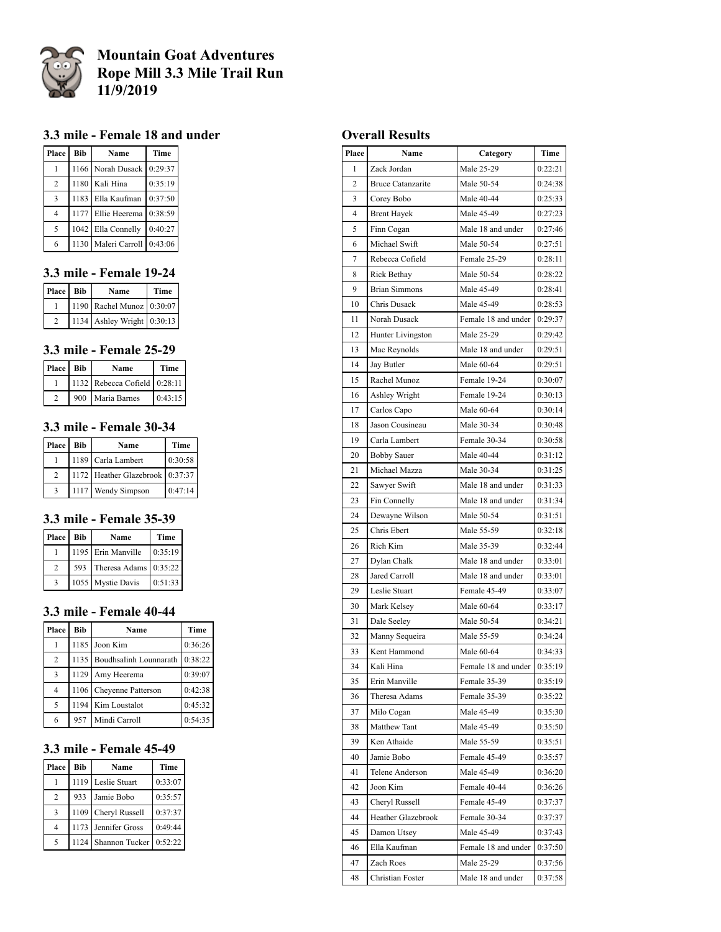

# **Mountain Goat Adventures Rope Mill 3.3 Mile Trail Run 11/9/2019**

## **3.3 mile - Female 18 and under**

| Place                    | <b>Bib</b> | Name                      | <b>Time</b> |
|--------------------------|------------|---------------------------|-------------|
|                          |            | 1166 Norah Dusack 0:29:37 |             |
| $\overline{c}$           | 1180       | Kali Hina                 | 0:35:19     |
| 3                        |            | 1183 Ella Kaufman         | 0:37:50     |
| 4                        |            | 1177 Ellie Heerema        | 0:38:59     |
| $\overline{\phantom{0}}$ |            | 1042 Ella Connelly        | 0:40:27     |
| 6                        | 1130       | Maleri Carroll            | 0:43:06     |

## **3.3 mile - Female 19-24**

| Place Bib | <b>Name</b>                | Time |
|-----------|----------------------------|------|
|           | 1190 Rachel Munoz 0:30:07  |      |
|           | 1134 Ashley Wright 0:30:13 |      |

### **3.3 mile - Female 25-29**

| Place Bib | Name                         | Time    |
|-----------|------------------------------|---------|
|           | 1132 Rebecca Cofield 0:28:11 |         |
| 2         | 900 Maria Barnes             | 0:43:15 |

# **3.3 mile - Female 30-34**

| Place          | <b>Bib</b> | Name                            | Time    |
|----------------|------------|---------------------------------|---------|
|                |            | 1189 Carla Lambert              | 0:30:58 |
| $\mathfrak{D}$ |            | 1172 Heather Glazebrook 0:37:37 |         |
| 3              | 1117       | Wendy Simpson                   | 0:47:14 |

### **3.3 mile - Female 35-39**

| Place         | <b>Bib</b> | Name                  | <b>Time</b> |
|---------------|------------|-----------------------|-------------|
|               |            | 1195 Erin Manville    | 0:35:19     |
| $\mathcal{L}$ | 593        | Theresa Adams 0:35:22 |             |
| $\mathcal{R}$ |            | 1055 Mystie Davis     | 0:51:33     |

## **3.3 mile - Female 40-44**

| Place          | <b>Bib</b> | Name                        | Time    |
|----------------|------------|-----------------------------|---------|
|                |            | 1185 Joon Kim               | 0:36:26 |
| $\overline{2}$ |            | 1135 Boudhsalinh Lounnarath | 0:38:22 |
| 3              | 1129       | Amy Heerema                 | 0:39:07 |
| 4              |            | 1106 Cheyenne Patterson     | 0:42:38 |
| 5              | 1194       | Kim Loustalot               | 0:45:32 |
| 6              | 957        | Mindi Carroll               | 0:54:35 |

## **3.3 mile - Female 45-49**

| Place          | <b>Bib</b> | Name                | Time    |
|----------------|------------|---------------------|---------|
|                | 1119       | Leslie Stuart       | 0:33:07 |
| 2              | 933        | Jamie Bobo          | 0:35:57 |
| 3              | 1109       | Cheryl Russell      | 0:37:37 |
| $\overline{4}$ |            | 1173 Jennifer Gross | 0:49:44 |
| 5              |            | 1124 Shannon Tucker | 0:52:22 |

## **Overall Results**

| Place    | Name                          | Category                   | <b>Time</b>        |
|----------|-------------------------------|----------------------------|--------------------|
| 1        | Zack Jordan                   | Male 25-29                 | 0:22:21            |
| 2        | <b>Bruce Catanzarite</b>      | Male 50-54                 | 0:24:38            |
| 3        | Corey Bobo                    | Male 40-44                 | 0:25:33            |
| 4        | <b>Brent Hayek</b>            | Male 45-49                 | 0:27:23            |
| 5        | Finn Cogan                    | Male 18 and under          | 0:27:46            |
| 6        | Michael Swift                 | Male 50-54                 | 0:27:51            |
| 7        | Rebecca Cofield               | Female 25-29               | 0:28:11            |
| 8        | Rick Bethay                   | Male 50-54                 | 0:28:22            |
| 9        | <b>Brian Simmons</b>          | Male 45-49                 | 0:28:41            |
| 10       | Chris Dusack                  | Male 45-49                 | 0:28:53            |
| 11       | Norah Dusack                  | Female 18 and under        | 0:29:37            |
| 12       | Hunter Livingston             | Male 25-29                 | 0:29:42            |
| 13       | Mac Reynolds                  | Male 18 and under          | 0:29:51            |
| 14       | Jay Butler                    | Male 60-64                 | 0:29:51            |
| 15       | Rachel Munoz                  | Female 19-24               | 0:30:07            |
| 16       | Ashley Wright                 | Female 19-24               | 0:30:13            |
| 17       | Carlos Capo                   | Male 60-64                 | 0:30:14            |
| 18       | Jason Cousineau               | Male 30-34                 | 0:30:48            |
| 19       | Carla Lambert                 | Female 30-34               | 0:30:58            |
| 20       | <b>Bobby Sauer</b>            | Male 40-44                 | 0:31:12            |
| 21       | Michael Mazza                 | Male 30-34                 | 0:31:25            |
| 22       | Sawyer Swift                  | Male 18 and under          | 0:31:33            |
| 23       | Fin Connelly                  | Male 18 and under          | 0:31:34            |
| 24       | Dewayne Wilson                | Male 50-54                 | 0:31:51            |
| 25       | Chris Ebert                   | Male 55-59                 | 0:32:18            |
| 26       | Rich Kim                      | Male 35-39                 | 0:32:44            |
| 27       | Dylan Chalk                   | Male 18 and under          | 0:33:01            |
| 28       | Jared Carroll                 | Male 18 and under          | 0:33:01            |
| 29       | Leslie Stuart                 | Female 45-49               | 0:33:07            |
| 30       | Mark Kelsey                   | Male 60-64                 | 0:33:17            |
| 31       | Dale Seeley                   | Male 50-54                 | 0:34:21            |
| 32       | Manny Sequeira                | Male 55-59                 | 0:34:24            |
| 33       | Kent Hammond                  | Male 60-64                 | 0:34:33            |
| 34       | Kali Hina                     | Female 18 and under        | 0:35:19            |
| 35       | Erin Manville                 | Female 35-39               | 0:35:19            |
| 36       | Theresa Adams                 | Female 35-39               | 0:35:22            |
| 37       | Milo Cogan                    | Male 45-49                 | 0:35:30            |
| 38       | Matthew Tant                  | Male 45-49                 | 0:35:50            |
| 39       | Ken Athaide                   | Male 55-59                 | 0:35:51            |
| 40       | Jamie Bobo<br>Telene Anderson | Female 45-49<br>Male 45-49 | 0:35:57            |
| 41<br>42 | Joon Kim                      | Female 40-44               | 0:36:20            |
| 43       | Cheryl Russell                | Female 45-49               | 0:36:26<br>0:37:37 |
| 44       | Heather Glazebrook            | Female 30-34               | 0:37:37            |
| 45       |                               | Male 45-49                 | 0:37:43            |
| 46       | Damon Utsey<br>Ella Kaufman   | Female 18 and under        | 0:37:50            |
| 47       | Zach Roes                     | Male 25-29                 | 0:37:56            |
| 48       | Christian Foster              | Male 18 and under          | 0:37:58            |
|          |                               |                            |                    |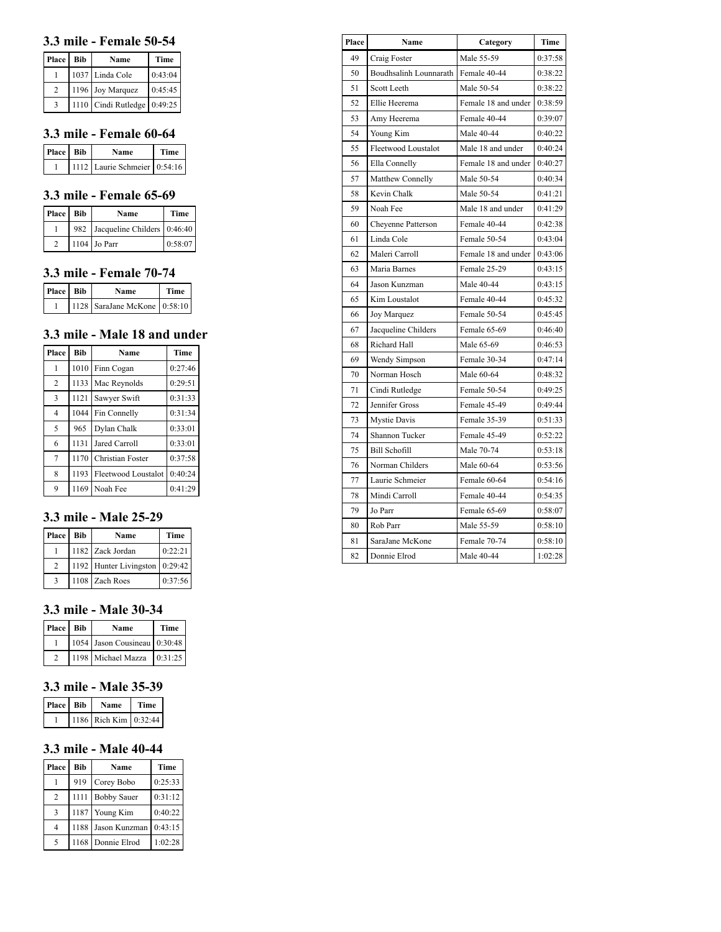### **3.3 mile - Female 50-54**

| Place | <b>Bib</b> | Name                        | Time    |
|-------|------------|-----------------------------|---------|
|       |            | 1037 Linda Cole             | 0:43:04 |
| 2     |            | 1196 Joy Marquez            | 0:45:45 |
|       |            | 1110 Cindi Rutledge 0:49:25 |         |

### **3.3 mile - Female 60-64**

| Place Bib | Name                         | <b>Time</b> |
|-----------|------------------------------|-------------|
|           | 1112 Laurie Schmeier 0:54:16 |             |

### **3.3 mile - Female 65-69**

| Place Bib | Name                            | <b>Time</b> |
|-----------|---------------------------------|-------------|
|           | 982 Jacqueline Childers 0:46:40 |             |
|           | 1104 Jo Parr                    | 0:58:07     |

## **3.3 mile - Female 70-74**

| Place Bib | Name                         | <b>Time</b> |
|-----------|------------------------------|-------------|
|           | 1128 SaraJane McKone 0:58:10 |             |

# **3.3 mile - Male 18 and under**

| Place          | <b>Bib</b> | Name                    | Time    |
|----------------|------------|-------------------------|---------|
| 1              | 1010       | Finn Cogan              | 0:27:46 |
| $\overline{2}$ | 1133       | Mac Reynolds            | 0:29:51 |
| 3              | 1121       | Sawyer Swift            | 0:31:33 |
| 4              | 1044       | Fin Connelly            | 0:31:34 |
| 5              | 965        | Dylan Chalk             | 0:33:01 |
| 6              | 1131       | Jared Carroll           | 0:33:01 |
| 7              | 1170       | <b>Christian Foster</b> | 0:37:58 |
| 8              | 1193       | Fleetwood Loustalot     | 0:40:24 |
| 9              | 1169       | Noah Fee                | 0:41:29 |

### **3.3 mile - Male 25-29**

| Place         | <b>Bib</b> | Name                           | <b>Time</b> |
|---------------|------------|--------------------------------|-------------|
|               |            | 1182 Zack Jordan               | 0:22:21     |
| $\mathcal{D}$ |            | 1192 Hunter Livingston 0:29:42 |             |
| $\mathbf{3}$  |            | 1108 Zach Roes                 | 0:37:56     |

### **3.3 mile - Male 30-34**

| <b>Place Bib</b> | Name                         | Time    |
|------------------|------------------------------|---------|
|                  | 1054 Jason Cousineau 0:30:48 |         |
|                  | 1198 Michael Mazza           | 0:31:25 |

### **3.3 mile - Male 35-39**

| <b>Place</b> Bib | Name                  | Time |
|------------------|-----------------------|------|
|                  | 1186 Rich Kim 0:32:44 |      |

## **3.3 mile - Male 40-44**

| Place        | <b>Bib</b> | Name               | <b>Time</b> |
|--------------|------------|--------------------|-------------|
|              | 919        | Corey Bobo         | 0:25:33     |
| 2            | 1111       | <b>Bobby Sauer</b> | 0:31:12     |
| $\mathbf{3}$ |            | 1187 Young Kim     | 0:40:22     |
| 4            | 1188       | Jason Kunzman      | 0:43:15     |
| 5            | 1168       | Donnie Elrod       | 1:02:28     |

| Place | Name                   | Category            | Time    |
|-------|------------------------|---------------------|---------|
| 49    | Craig Foster           | Male 55-59          | 0:37:58 |
| 50    | Boudhsalinh Lounnarath | Female 40-44        | 0:38:22 |
| 51    | Scott Leeth            | Male 50-54          | 0:38:22 |
| 52    | Ellie Heerema          | Female 18 and under | 0:38:59 |
| 53    | Amy Heerema            | Female 40-44        | 0:39:07 |
| 54    | Young Kim              | Male 40-44          | 0:40:22 |
| 55    | Fleetwood Loustalot    | Male 18 and under   | 0:40:24 |
| 56    | Ella Connelly          | Female 18 and under | 0:40:27 |
| 57    | Matthew Connelly       | Male 50-54          | 0:40:34 |
| 58    | Kevin Chalk            | Male 50-54          | 0:41:21 |
| 59    | Noah Fee               | Male 18 and under   | 0:41:29 |
| 60    | Cheyenne Patterson     | Female 40-44        | 0:42:38 |
| 61    | Linda Cole             | Female 50-54        | 0:43:04 |
| 62    | Maleri Carroll         | Female 18 and under | 0:43:06 |
| 63    | Maria Barnes           | Female 25-29        | 0:43:15 |
| 64    | Jason Kunzman          | Male 40-44          | 0:43:15 |
| 65    | Kim Loustalot          | Female 40-44        | 0:45:32 |
| 66    | <b>Joy Marquez</b>     | Female 50-54        | 0:45:45 |
| 67    | Jacqueline Childers    | Female 65-69        | 0:46:40 |
| 68    | Richard Hall           | Male 65-69          | 0:46:53 |
| 69    | Wendy Simpson          | Female 30-34        | 0:47:14 |
| 70    | Norman Hosch           | Male 60-64          | 0:48:32 |
| 71    | Cindi Rutledge         | Female 50-54        | 0:49:25 |
| 72    | Jennifer Gross         | Female 45-49        | 0:49:44 |
| 73    | <b>Mystie Davis</b>    | Female 35-39        | 0:51:33 |
| 74    | Shannon Tucker         | Female 45-49        | 0:52:22 |
| 75    | <b>Bill Schofill</b>   | Male 70-74          | 0:53:18 |
| 76    | Norman Childers        | Male 60-64          | 0:53:56 |
| 77    | Laurie Schmeier        | Female 60-64        | 0:54:16 |
| 78    | Mindi Carroll          | Female 40-44        | 0:54:35 |
| 79    | Jo Parr                | Female 65-69        | 0:58:07 |
| 80    | Rob Parr               | Male 55-59          | 0:58:10 |
| 81    | SaraJane McKone        | Female 70-74        | 0:58:10 |
| 82    | Donnie Elrod           | Male 40-44          | 1:02:28 |
|       |                        |                     |         |